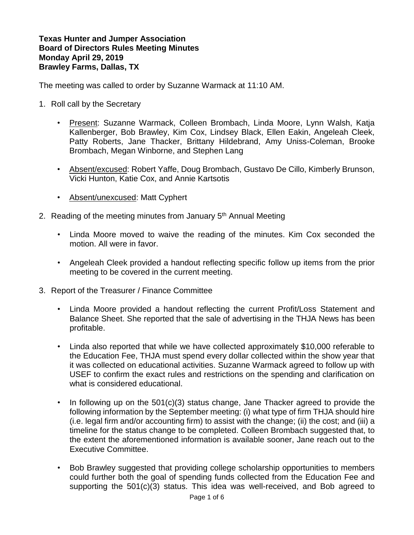**Texas Hunter and Jumper Association Board of Directors Rules Meeting Minutes Monday April 29, 2019 Brawley Farms, Dallas, TX**

The meeting was called to order by Suzanne Warmack at 11:10 AM.

- 1. Roll call by the Secretary
	- Present: Suzanne Warmack, Colleen Brombach, Linda Moore, Lynn Walsh, Katja Kallenberger, Bob Brawley, Kim Cox, Lindsey Black, Ellen Eakin, Angeleah Cleek, Patty Roberts, Jane Thacker, Brittany Hildebrand, Amy Uniss-Coleman, Brooke Brombach, Megan Winborne, and Stephen Lang
	- Absent/excused: Robert Yaffe, Doug Brombach, Gustavo De Cillo, Kimberly Brunson, Vicki Hunton, Katie Cox, and Annie Kartsotis
	- Absent/unexcused: Matt Cyphert
- 2. Reading of the meeting minutes from January 5<sup>th</sup> Annual Meeting
	- Linda Moore moved to waive the reading of the minutes. Kim Cox seconded the motion. All were in favor.
	- Angeleah Cleek provided a handout reflecting specific follow up items from the prior meeting to be covered in the current meeting.
- 3. Report of the Treasurer / Finance Committee
	- Linda Moore provided a handout reflecting the current Profit/Loss Statement and Balance Sheet. She reported that the sale of advertising in the THJA News has been profitable.
	- Linda also reported that while we have collected approximately \$10,000 referable to the Education Fee, THJA must spend every dollar collected within the show year that it was collected on educational activities. Suzanne Warmack agreed to follow up with USEF to confirm the exact rules and restrictions on the spending and clarification on what is considered educational.
	- In following up on the 501(c)(3) status change, Jane Thacker agreed to provide the following information by the September meeting: (i) what type of firm THJA should hire (i.e. legal firm and/or accounting firm) to assist with the change; (ii) the cost; and (iii) a timeline for the status change to be completed. Colleen Brombach suggested that, to the extent the aforementioned information is available sooner, Jane reach out to the Executive Committee.
	- Bob Brawley suggested that providing college scholarship opportunities to members could further both the goal of spending funds collected from the Education Fee and supporting the 501(c)(3) status. This idea was well-received, and Bob agreed to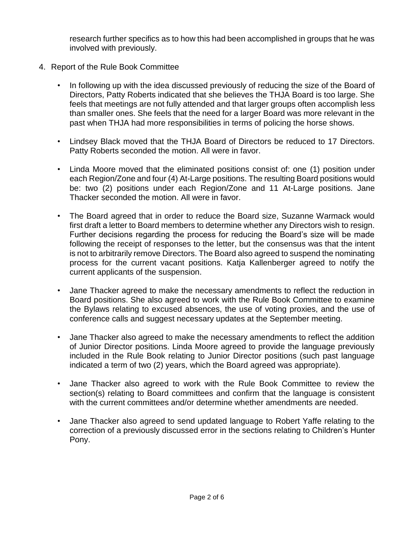research further specifics as to how this had been accomplished in groups that he was involved with previously.

- 4. Report of the Rule Book Committee
	- In following up with the idea discussed previously of reducing the size of the Board of Directors, Patty Roberts indicated that she believes the THJA Board is too large. She feels that meetings are not fully attended and that larger groups often accomplish less than smaller ones. She feels that the need for a larger Board was more relevant in the past when THJA had more responsibilities in terms of policing the horse shows.
	- Lindsey Black moved that the THJA Board of Directors be reduced to 17 Directors. Patty Roberts seconded the motion. All were in favor.
	- Linda Moore moved that the eliminated positions consist of: one (1) position under each Region/Zone and four (4) At-Large positions. The resulting Board positions would be: two (2) positions under each Region/Zone and 11 At-Large positions. Jane Thacker seconded the motion. All were in favor.
	- The Board agreed that in order to reduce the Board size, Suzanne Warmack would first draft a letter to Board members to determine whether any Directors wish to resign. Further decisions regarding the process for reducing the Board's size will be made following the receipt of responses to the letter, but the consensus was that the intent is not to arbitrarily remove Directors. The Board also agreed to suspend the nominating process for the current vacant positions. Katja Kallenberger agreed to notify the current applicants of the suspension.
	- Jane Thacker agreed to make the necessary amendments to reflect the reduction in Board positions. She also agreed to work with the Rule Book Committee to examine the Bylaws relating to excused absences, the use of voting proxies, and the use of conference calls and suggest necessary updates at the September meeting.
	- Jane Thacker also agreed to make the necessary amendments to reflect the addition of Junior Director positions. Linda Moore agreed to provide the language previously included in the Rule Book relating to Junior Director positions (such past language indicated a term of two (2) years, which the Board agreed was appropriate).
	- Jane Thacker also agreed to work with the Rule Book Committee to review the section(s) relating to Board committees and confirm that the language is consistent with the current committees and/or determine whether amendments are needed.
	- Jane Thacker also agreed to send updated language to Robert Yaffe relating to the correction of a previously discussed error in the sections relating to Children's Hunter Pony.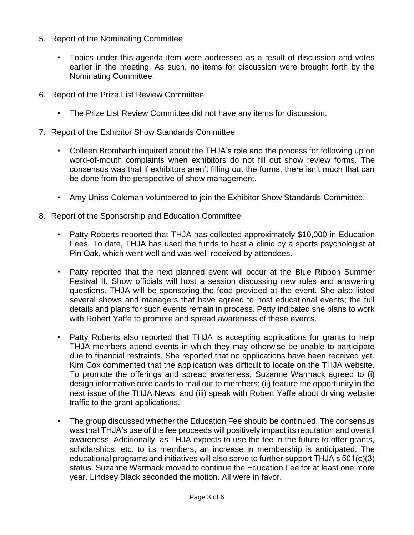- 5. Report of the Nominating Committee
	- Topics under this agenda item were addressed as a result of discussion and votes earlier in the meeting. As such, no items for discussion were brought forth by the Nominating Committee.
- 6. Report of the Prize List Review Committee
	- The Prize List Review Committee did not have any items for discussion.
- 7. Report of the Exhibitor Show Standards Committee
	- Colleen Brombach inquired about the THJA's role and the process for following up on word-of-mouth complaints when exhibitors do not fill out show review forms. The consensus was that if exhibitors aren't filling out the forms, there isn't much that can be done from the perspective of show management.
	- Amy Uniss-Coleman volunteered to join the Exhibitor Show Standards Committee.
- 8. Report of the Sponsorship and Education Committee
	- Patty Roberts reported that THJA has collected approximately \$10,000 in Education Fees. To date, THJA has used the funds to host a clinic by a sports psychologist at Pin Oak, which went well and was well-received by attendees.
	- Patty reported that the next planned event will occur at the Blue Ribbon Summer Festival II. Show officials will host a session discussing new rules and answering questions. THJA will be sponsoring the food provided at the event. She also listed several shows and managers that have agreed to host educational events; the full details and plans for such events remain in process. Patty indicated she plans to work with Robert Yaffe to promote and spread awareness of these events.
	- Patty Roberts also reported that THJA is accepting applications for grants to help THJA members attend events in which they may otherwise be unable to participate due to financial restraints. She reported that no applications have been received yet. Kim Cox commented that the application was difficult to locate on the THJA website. To promote the offerings and spread awareness, Suzanne Warmack agreed to (i) design informative note cards to mail out to members; (ii) feature the opportunity in the next issue of the THJA News; and (iii) speak with Robert Yaffe about driving website traffic to the grant applications.
	- The group discussed whether the Education Fee should be continued. The consensus was that THJA's use of the fee proceeds will positively impact its reputation and overall awareness. Additionally, as THJA expects to use the fee in the future to offer grants, scholarships, etc. to its members, an increase in membership is anticipated. The educational programs and initiatives will also serve to further support THJA's 501(c)(3) status. Suzanne Warmack moved to continue the Education Fee for at least one more year. Lindsey Black seconded the motion. All were in favor.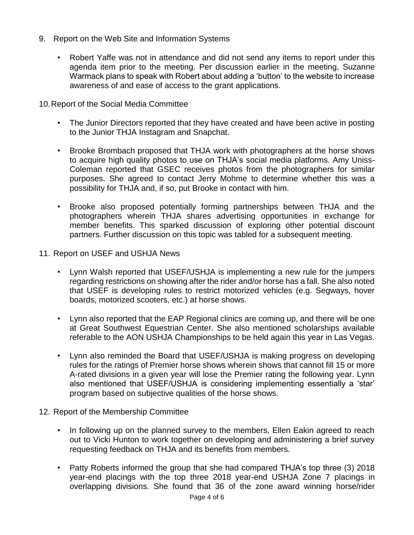- 9. Report on the Web Site and Information Systems
	- Robert Yaffe was not in attendance and did not send any items to report under this agenda item prior to the meeting. Per discussion earlier in the meeting, Suzanne Warmack plans to speak with Robert about adding a 'button' to the website to increase awareness of and ease of access to the grant applications.

10.Report of the Social Media Committee

- The Junior Directors reported that they have created and have been active in posting to the Junior THJA Instagram and Snapchat.
- Brooke Brombach proposed that THJA work with photographers at the horse shows to acquire high quality photos to use on THJA's social media platforms. Amy Uniss-Coleman reported that GSEC receives photos from the photographers for similar purposes. She agreed to contact Jerry Mohme to determine whether this was a possibility for THJA and, if so, put Brooke in contact with him.
- Brooke also proposed potentially forming partnerships between THJA and the photographers wherein THJA shares advertising opportunities in exchange for member benefits. This sparked discussion of exploring other potential discount partners. Further discussion on this topic was tabled for a subsequent meeting.
- 11. Report on USEF and USHJA News
	- Lynn Walsh reported that USEF/USHJA is implementing a new rule for the jumpers regarding restrictions on showing after the rider and/or horse has a fall. She also noted that USEF is developing rules to restrict motorized vehicles (e.g. Segways, hover boards, motorized scooters, etc.) at horse shows.
	- Lynn also reported that the EAP Regional clinics are coming up, and there will be one at Great Southwest Equestrian Center. She also mentioned scholarships available referable to the AON USHJA Championships to be held again this year in Las Vegas.
	- Lynn also reminded the Board that USEF/USHJA is making progress on developing rules for the ratings of Premier horse shows wherein shows that cannot fill 15 or more A-rated divisions in a given year will lose the Premier rating the following year. Lynn also mentioned that USEF/USHJA is considering implementing essentially a 'star' program based on subjective qualities of the horse shows.
- 12. Report of the Membership Committee
	- In following up on the planned survey to the members, Ellen Eakin agreed to reach out to Vicki Hunton to work together on developing and administering a brief survey requesting feedback on THJA and its benefits from members.
	- Patty Roberts informed the group that she had compared THJA's top three (3) 2018 year-end placings with the top three 2018 year-end USHJA Zone 7 placings in overlapping divisions. She found that 36 of the zone award winning horse/rider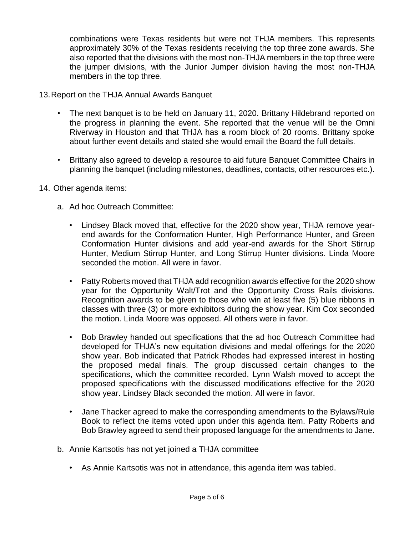combinations were Texas residents but were not THJA members. This represents approximately 30% of the Texas residents receiving the top three zone awards. She also reported that the divisions with the most non-THJA members in the top three were the jumper divisions, with the Junior Jumper division having the most non-THJA members in the top three.

- 13.Report on the THJA Annual Awards Banquet
	- The next banquet is to be held on January 11, 2020. Brittany Hildebrand reported on the progress in planning the event. She reported that the venue will be the Omni Riverway in Houston and that THJA has a room block of 20 rooms. Brittany spoke about further event details and stated she would email the Board the full details.
	- Brittany also agreed to develop a resource to aid future Banquet Committee Chairs in planning the banquet (including milestones, deadlines, contacts, other resources etc.).
- 14. Other agenda items:
	- a. Ad hoc Outreach Committee:
		- Lindsey Black moved that, effective for the 2020 show year, THJA remove yearend awards for the Conformation Hunter, High Performance Hunter, and Green Conformation Hunter divisions and add year-end awards for the Short Stirrup Hunter, Medium Stirrup Hunter, and Long Stirrup Hunter divisions. Linda Moore seconded the motion. All were in favor.
		- Patty Roberts moved that THJA add recognition awards effective for the 2020 show year for the Opportunity Walt/Trot and the Opportunity Cross Rails divisions. Recognition awards to be given to those who win at least five (5) blue ribbons in classes with three (3) or more exhibitors during the show year. Kim Cox seconded the motion. Linda Moore was opposed. All others were in favor.
		- Bob Brawley handed out specifications that the ad hoc Outreach Committee had developed for THJA's new equitation divisions and medal offerings for the 2020 show year. Bob indicated that Patrick Rhodes had expressed interest in hosting the proposed medal finals. The group discussed certain changes to the specifications, which the committee recorded. Lynn Walsh moved to accept the proposed specifications with the discussed modifications effective for the 2020 show year. Lindsey Black seconded the motion. All were in favor.
		- Jane Thacker agreed to make the corresponding amendments to the Bylaws/Rule Book to reflect the items voted upon under this agenda item. Patty Roberts and Bob Brawley agreed to send their proposed language for the amendments to Jane.
	- b. Annie Kartsotis has not yet joined a THJA committee
		- As Annie Kartsotis was not in attendance, this agenda item was tabled.